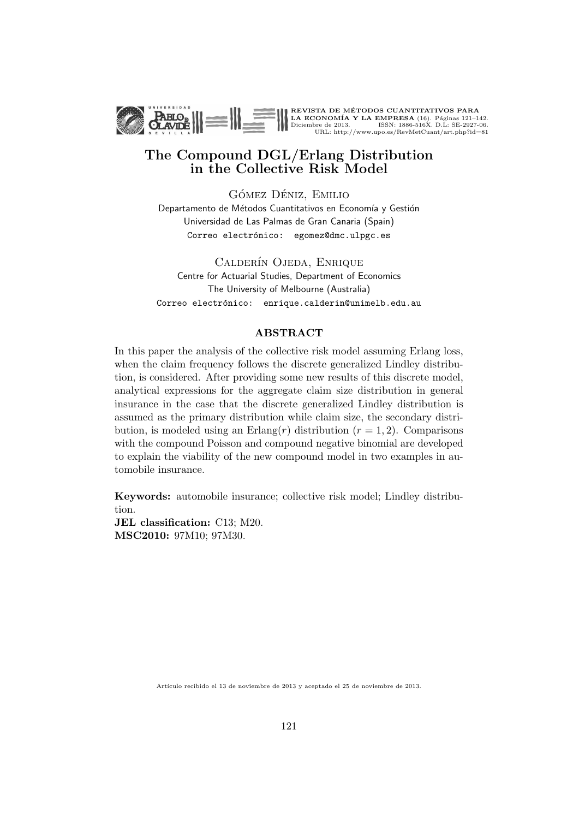

REVISTA DE MÉTODOS CUANTITATIVOS PARA<br>LA ECONOMÍA Y LA EMPRESA (16). Páginas 121–142.<br>Diciembre de 2013. ISSN: 1886-516X. D.L: SE-2927-06.<br>URL: http://www.upo.es/RevMetCuant/art.php?id=81

# The Compound DGL/Erlang Distribution in the Collective Risk Model

GÓMEZ DÉNIZ, EMILIO Departamento de Métodos Cuantitativos en Economía y Gestión Universidad de Las Palmas de Gran Canaria (Spain) Correo electrónico: egomez@dmc.ulpgc.es

CALDERÍN OJEDA, ENRIQUE Centre for Actuarial Studies, Department of Economics The University of Melbourne (Australia) Correo electrónico: enrique.calderin@unimelb.edu.au

#### ABSTRACT

In this paper the analysis of the collective risk model assuming Erlang loss, when the claim frequency follows the discrete generalized Lindley distribution, is considered. After providing some new results of this discrete model, analytical expressions for the aggregate claim size distribution in general insurance in the case that the discrete generalized Lindley distribution is assumed as the primary distribution while claim size, the secondary distribution, is modeled using an Erlang $(r)$  distribution  $(r = 1, 2)$ . Comparisons with the compound Poisson and compound negative binomial are developed to explain the viability of the new compound model in two examples in automobile insurance.

Keywords: automobile insurance; collective risk model; Lindley distribution.

JEL classification: C13; M20. MSC2010: 97M10; 97M30.

Artículo recibido el 13 de noviembre de 2013 y aceptado el 25 de noviembre de 2013.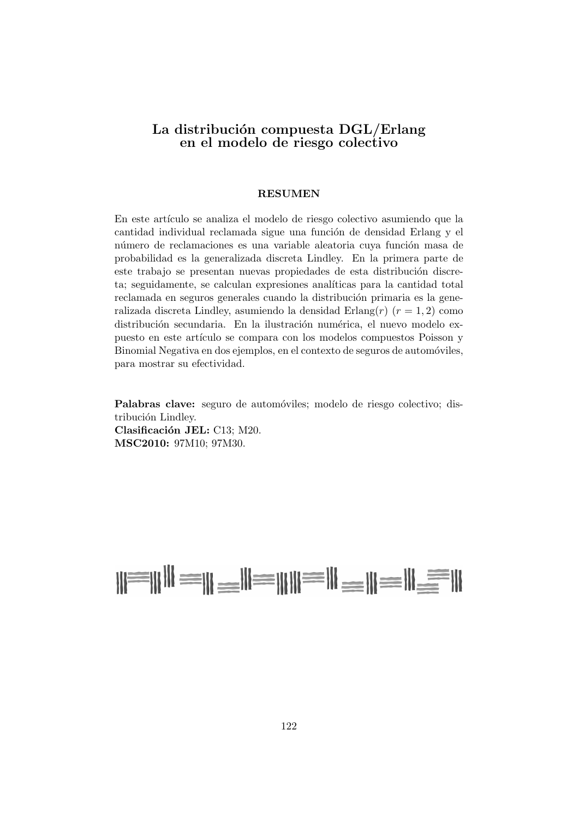# La distribución compuesta DGL/Erlang en el modelo de riesgo colectivo

#### RESUMEN

En este artículo se analiza el modelo de riesgo colectivo asumiendo que la cantidad individual reclamada sigue una función de densidad Erlang y el número de reclamaciones es una variable aleatoria cuya función masa de probabilidad es la generalizada discreta Lindley. En la primera parte de este trabajo se presentan nuevas propiedades de esta distribución discreta; seguidamente, se calculan expresiones analíticas para la cantidad total reclamada en seguros generales cuando la distribución primaria es la generalizada discreta Lindley, asumiendo la densidad Erlang $(r)$   $(r = 1, 2)$  como distribución secundaria. En la ilustración numérica, el nuevo modelo expuesto en este artículo se compara con los modelos compuestos Poisson y Binomial Negativa en dos ejemplos, en el contexto de seguros de automóviles, para mostrar su efectividad.

Palabras clave: seguro de automóviles; modelo de riesgo colectivo; distribución Lindley. Clasificación JEL: C13; M20. MSC2010: 97M10; 97M30.

# N=NH = N=N=NH = N=N=N=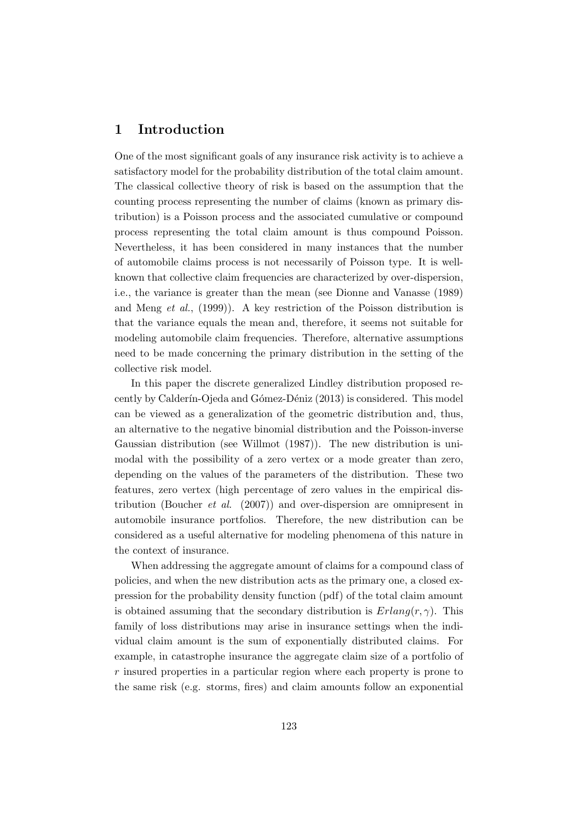# **1 Introduction**

One of the most significant goals of any insurance risk activity is to achieve a satisfactory model for the probability distribution of the total claim amount. The classical collective theory of risk is based on the assumption that the counting process representing the number of claims (known as primary distribution) is a Poisson process and the associated cumulative or compound process representing the total claim amount is thus compound Poisson. Nevertheless, it has been considered in many instances that the number of automobile claims process is not necessarily of Poisson type. It is wellknown that collective claim frequencies are characterized by over-dispersion, i.e., the variance is greater than the mean (see Dionne and Vanasse (1989) and Meng *et al.*, (1999)). A key restriction of the Poisson distribution is that the variance equals the mean and, therefore, it seems not suitable for modeling automobile claim frequencies. Therefore, alternative assumptions need to be made concerning the primary distribution in the setting of the collective risk model.

In this paper the discrete generalized Lindley distribution proposed recently by Calderín-Ojeda and Gómez-Déniz (2013) is considered. This model can be viewed as a generalization of the geometric distribution and, thus, an alternative to the negative binomial distribution and the Poisson-inverse Gaussian distribution (see Willmot (1987)). The new distribution is unimodal with the possibility of a zero vertex or a mode greater than zero, depending on the values of the parameters of the distribution. These two features, zero vertex (high percentage of zero values in the empirical distribution (Boucher *et al.* (2007)) and over-dispersion are omnipresent in automobile insurance portfolios. Therefore, the new distribution can be considered as a useful alternative for modeling phenomena of this nature in the context of insurance.

When addressing the aggregate amount of claims for a compound class of policies, and when the new distribution acts as the primary one, a closed expression for the probability density function (pdf) of the total claim amount is obtained assuming that the secondary distribution is  $Erlang(r, \gamma)$ . This family of loss distributions may arise in insurance settings when the individual claim amount is the sum of exponentially distributed claims. For example, in catastrophe insurance the aggregate claim size of a portfolio of *r* insured properties in a particular region where each property is prone to the same risk (e.g. storms, fires) and claim amounts follow an exponential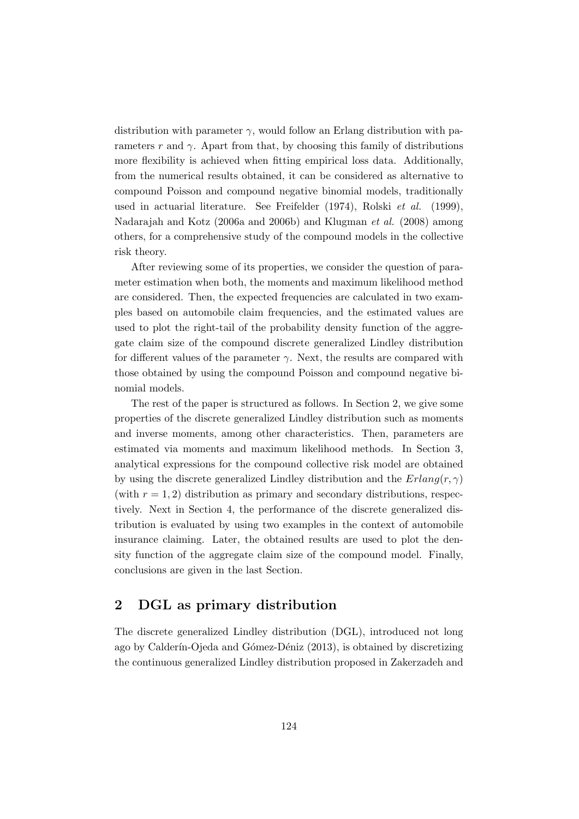distribution with parameter  $\gamma$ , would follow an Erlang distribution with parameters  $r$  and  $\gamma$ . Apart from that, by choosing this family of distributions more flexibility is achieved when fitting empirical loss data. Additionally, from the numerical results obtained, it can be considered as alternative to compound Poisson and compound negative binomial models, traditionally used in actuarial literature. See Freifelder (1974), Rolski *et al.* (1999), Nadarajah and Kotz (2006a and 2006b) and Klugman *et al.* (2008) among others, for a comprehensive study of the compound models in the collective risk theory.

After reviewing some of its properties, we consider the question of parameter estimation when both, the moments and maximum likelihood method are considered. Then, the expected frequencies are calculated in two examples based on automobile claim frequencies, and the estimated values are used to plot the right-tail of the probability density function of the aggregate claim size of the compound discrete generalized Lindley distribution for different values of the parameter  $\gamma$ . Next, the results are compared with those obtained by using the compound Poisson and compound negative binomial models.

The rest of the paper is structured as follows. In Section 2, we give some properties of the discrete generalized Lindley distribution such as moments and inverse moments, among other characteristics. Then, parameters are estimated via moments and maximum likelihood methods. In Section 3, analytical expressions for the compound collective risk model are obtained by using the discrete generalized Lindley distribution and the  $Erlang(r, \gamma)$ (with  $r = 1, 2$ ) distribution as primary and secondary distributions, respectively. Next in Section 4, the performance of the discrete generalized distribution is evaluated by using two examples in the context of automobile insurance claiming. Later, the obtained results are used to plot the density function of the aggregate claim size of the compound model. Finally, conclusions are given in the last Section.

# **2 DGL as primary distribution**

The discrete generalized Lindley distribution (DGL), introduced not long ago by Calderín-Ojeda and Gómez-Déniz (2013), is obtained by discretizing the continuous generalized Lindley distribution proposed in Zakerzadeh and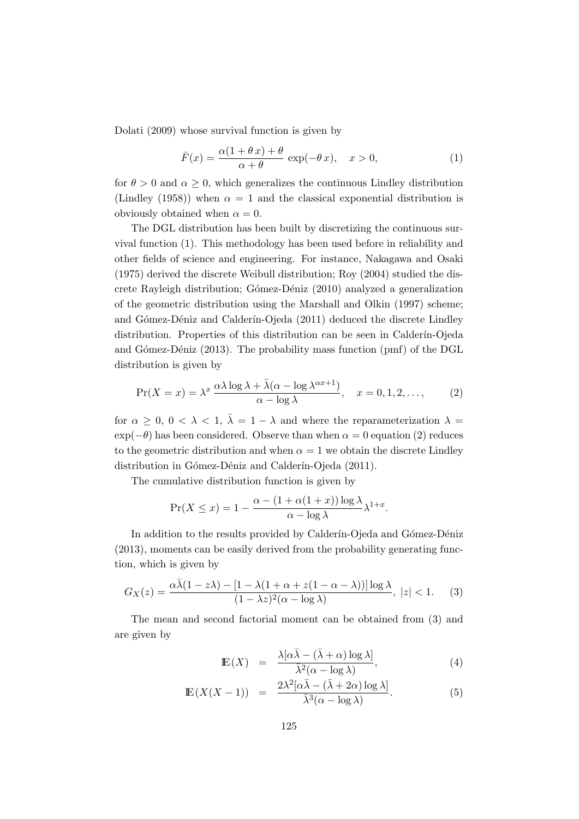Dolati (2009) whose survival function is given by

$$
\bar{F}(x) = \frac{\alpha(1+\theta x) + \theta}{\alpha + \theta} \exp(-\theta x), \quad x > 0,
$$
\n(1)

for  $\theta > 0$  and  $\alpha \geq 0$ , which generalizes the continuous Lindley distribution (Lindley (1958)) when  $\alpha = 1$  and the classical exponential distribution is obviously obtained when  $\alpha = 0$ .

The DGL distribution has been built by discretizing the continuous survival function (1). This methodology has been used before in reliability and other fields of science and engineering. For instance, Nakagawa and Osaki (1975) derived the discrete Weibull distribution; Roy (2004) studied the discrete Rayleigh distribution; Gómez-Déniz (2010) analyzed a generalization of the geometric distribution using the Marshall and Olkin (1997) scheme; and Gómez-Déniz and Calderín-Ojeda (2011) deduced the discrete Lindley distribution. Properties of this distribution can be seen in Calderín-Ojeda and Gómez-Déniz (2013). The probability mass function (pmf) of the DGL distribution is given by

$$
\Pr(X = x) = \lambda^x \frac{\alpha \lambda \log \lambda + \bar{\lambda} (\alpha - \log \lambda^{\alpha x + 1})}{\alpha - \log \lambda}, \quad x = 0, 1, 2, \dots,
$$
 (2)

for  $\alpha \geq 0$ ,  $0 < \lambda < 1$ ,  $\overline{\lambda} = 1 - \lambda$  and where the reparameterization  $\lambda =$  $\exp(-\theta)$  has been considered. Observe than when  $\alpha = 0$  equation (2) reduces to the geometric distribution and when  $\alpha = 1$  we obtain the discrete Lindley distribution in Gómez-Déniz and Calderín-Ojeda (2011).

The cumulative distribution function is given by

$$
\Pr(X \le x) = 1 - \frac{\alpha - (1 + \alpha(1 + x)) \log \lambda}{\alpha - \log \lambda} \lambda^{1+x}.
$$

In addition to the results provided by Calderín-Ojeda and Gómez-Déniz (2013), moments can be easily derived from the probability generating function, which is given by

$$
G_X(z) = \frac{\alpha \bar{\lambda}(1 - z\lambda) - [1 - \lambda(1 + \alpha + z(1 - \alpha - \lambda))] \log \lambda}{(1 - \lambda z)^2 (\alpha - \log \lambda)}, \ |z| < 1. \tag{3}
$$

The mean and second factorial moment can be obtained from (3) and are given by

$$
\mathbb{E}(X) = \frac{\lambda[\alpha\bar{\lambda} - (\bar{\lambda} + \alpha)\log\lambda]}{\bar{\lambda}^2(\alpha - \log\lambda)},
$$
\n(4)

$$
\mathbb{E}(X(X-1)) = \frac{2\lambda^2[\alpha\bar{\lambda} - (\bar{\lambda} + 2\alpha)\log\lambda]}{\bar{\lambda}^3(\alpha - \log\lambda)}.
$$
 (5)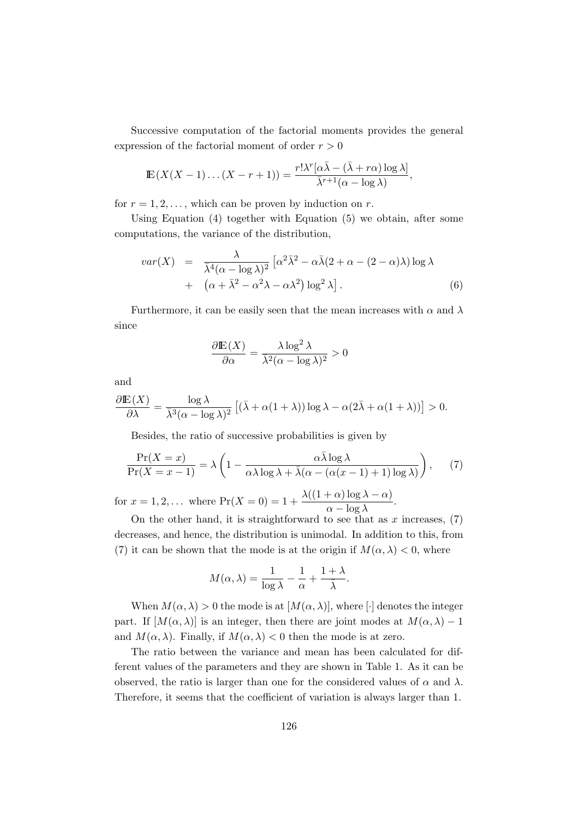Successive computation of the factorial moments provides the general expression of the factorial moment of order *r >* 0

$$
\mathbb{E}(X(X-1)\dots(X-r+1)) = \frac{r!\lambda^r[\alpha\bar{\lambda} - (\bar{\lambda}+r\alpha)\log\lambda]}{\bar{\lambda}^{r+1}(\alpha-\log\lambda)},
$$

for  $r = 1, 2, \ldots$ , which can be proven by induction on  $r$ .

Using Equation (4) together with Equation (5) we obtain, after some computations, the variance of the distribution,

$$
var(X) = \frac{\lambda}{\overline{\lambda}^4 (\alpha - \log \lambda)^2} \left[ \alpha^2 \overline{\lambda}^2 - \alpha \overline{\lambda} (2 + \alpha - (2 - \alpha) \lambda) \log \lambda + (\alpha + \overline{\lambda}^2 - \alpha^2 \lambda - \alpha \lambda^2) \log^2 \lambda \right].
$$
 (6)

Furthermore, it can be easily seen that the mean increases with  $\alpha$  and  $\lambda$ since

$$
\frac{\partial \mathbb{E}(X)}{\partial \alpha} = \frac{\lambda \log^2 \lambda}{\overline{\lambda}^2 (\alpha - \log \lambda)^2} > 0
$$

and

$$
\frac{\partial \mathbb{E}(X)}{\partial \lambda} = \frac{\log \lambda}{\overline{\lambda}^3 (\alpha - \log \lambda)^2} \left[ (\overline{\lambda} + \alpha(1 + \lambda)) \log \lambda - \alpha(2\overline{\lambda} + \alpha(1 + \lambda)) \right] > 0.
$$

Besides, the ratio of successive probabilities is given by

$$
\frac{\Pr(X=x)}{\Pr(X=x-1)} = \lambda \left( 1 - \frac{\alpha \bar{\lambda} \log \lambda}{\alpha \lambda \log \lambda + \bar{\lambda} (\alpha - (\alpha(x-1) + 1) \log \lambda)} \right), \quad (7)
$$

for  $x = 1, 2, ...$  where  $Pr(X = 0) = 1 + \frac{\lambda((1 + \alpha)\log \lambda - \alpha)}{\alpha - \log \lambda}$ .

On the other hand, it is straightforward to see that as  $x$  increases,  $(7)$ decreases, and hence, the distribution is unimodal. In addition to this, from (7) it can be shown that the mode is at the origin if  $M(\alpha, \lambda) < 0$ , where

$$
M(\alpha, \lambda) = \frac{1}{\log \lambda} - \frac{1}{\alpha} + \frac{1 + \lambda}{\bar{\lambda}}.
$$

When  $M(\alpha, \lambda) > 0$  the mode is at  $[M(\alpha, \lambda)],$  where  $\lceil \cdot \rceil$  denotes the integer part. If  $[M(\alpha, \lambda)]$  is an integer, then there are joint modes at  $M(\alpha, \lambda) - 1$ and  $M(\alpha, \lambda)$ . Finally, if  $M(\alpha, \lambda) < 0$  then the mode is at zero.

The ratio between the variance and mean has been calculated for different values of the parameters and they are shown in Table 1. As it can be observed, the ratio is larger than one for the considered values of  $\alpha$  and  $\lambda$ . Therefore, it seems that the coefficient of variation is always larger than 1.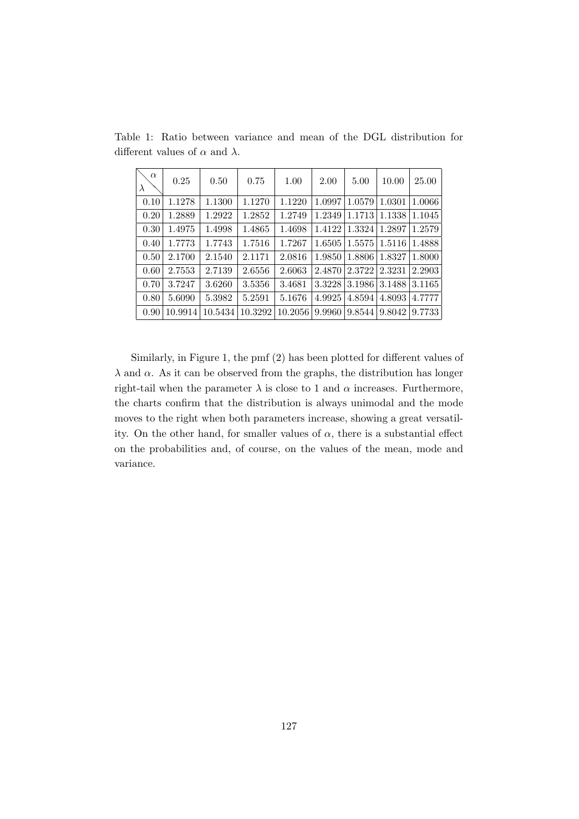| $\alpha$<br>$\lambda$ | 0.25    | 0.50    | 0.75    | 1.00    | 2.00   | 5.00   | 10.00  | 25.00  |
|-----------------------|---------|---------|---------|---------|--------|--------|--------|--------|
| 0.10                  | 1.1278  | 1.1300  | 1.1270  | 1.1220  | 1.0997 | 1.0579 | 1.0301 | 1.0066 |
| 0.20                  | 1.2889  | 1.2922  | 1.2852  | 1.2749  | 1.2349 | 1.1713 | 1.1338 | 1.1045 |
| 0.30                  | 1.4975  | 1.4998  | 1.4865  | 1.4698  | 1.4122 | 1.3324 | 1.2897 | 1.2579 |
| 0.40                  | 1.7773  | 1.7743  | 1.7516  | 1.7267  | 1.6505 | 1.5575 | 1.5116 | 1.4888 |
| 0.50                  | 2.1700  | 2.1540  | 2.1171  | 2.0816  | 1.9850 | 1.8806 | 1.8327 | 1.8000 |
| 0.60                  | 2.7553  | 2.7139  | 2.6556  | 2.6063  | 2.4870 | 2.3722 | 2.3231 | 2.2903 |
| 0.70                  | 3.7247  | 3.6260  | 3.5356  | 3.4681  | 3.3228 | 3.1986 | 3.1488 | 3.1165 |
| 0.80                  | 5.6090  | 5.3982  | 5.2591  | 5.1676  | 4.9925 | 4.8594 | 4.8093 | 4.7777 |
| 0.90                  | 10.9914 | 10.5434 | 10.3292 | 10.2056 | 9.9960 | 9.8544 | 9.8042 | 9.7733 |

Table 1: Ratio between variance and mean of the DGL distribution for different values of *α* and *λ*.

Similarly, in Figure 1, the pmf (2) has been plotted for different values of  $λ$  and  $α$ . As it can be observed from the graphs, the distribution has longer right-tail when the parameter  $\lambda$  is close to 1 and  $\alpha$  increases. Furthermore, the charts confirm that the distribution is always unimodal and the mode moves to the right when both parameters increase, showing a great versatility. On the other hand, for smaller values of  $\alpha$ , there is a substantial effect on the probabilities and, of course, on the values of the mean, mode and variance.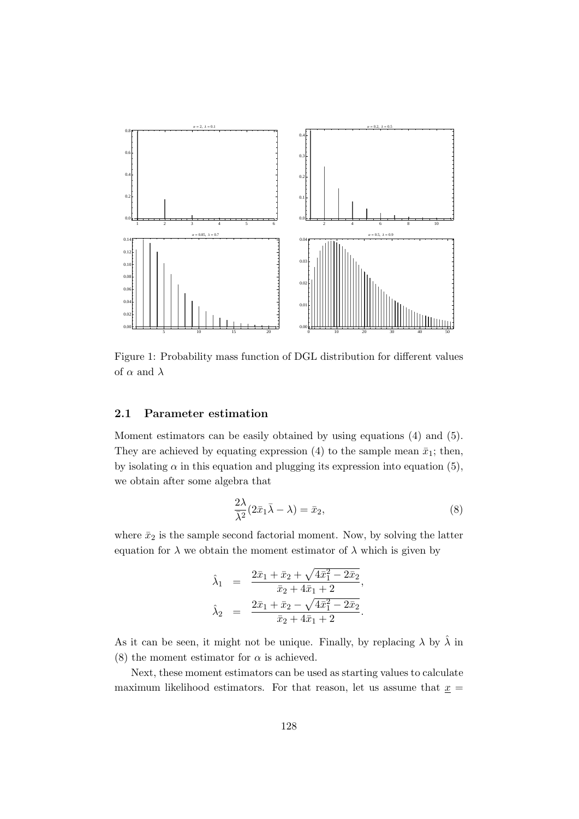

Figure 1: Probability mass function of DGL distribution for different values of  $\alpha$  and  $\lambda$ 

#### **2.1 Parameter estimation**

Moment estimators can be easily obtained by using equations (4) and (5). They are achieved by equating expression (4) to the sample mean  $\bar{x}_1$ ; then, by isolating  $\alpha$  in this equation and plugging its expression into equation (5), we obtain after some algebra that

$$
\frac{2\lambda}{\bar{\lambda}^2}(2\bar{x}_1\bar{\lambda}-\lambda)=\bar{x}_2,\tag{8}
$$

where  $\bar{x}_2$  is the sample second factorial moment. Now, by solving the latter equation for  $\lambda$  we obtain the moment estimator of  $\lambda$  which is given by

$$
\hat{\lambda}_1 = \frac{2\bar{x}_1 + \bar{x}_2 + \sqrt{4\bar{x}_1^2 - 2\bar{x}_2}}{\bar{x}_2 + 4\bar{x}_1 + 2},
$$
  

$$
\hat{\lambda}_2 = \frac{2\bar{x}_1 + \bar{x}_2 - \sqrt{4\bar{x}_1^2 - 2\bar{x}_2}}{\bar{x}_2 + 4\bar{x}_1 + 2}.
$$

As it can be seen, it might not be unique. Finally, by replacing  $\lambda$  by  $\hat{\lambda}$  in (8) the moment estimator for  $\alpha$  is achieved.

Next, these moment estimators can be used as starting values to calculate maximum likelihood estimators. For that reason, let us assume that  $x =$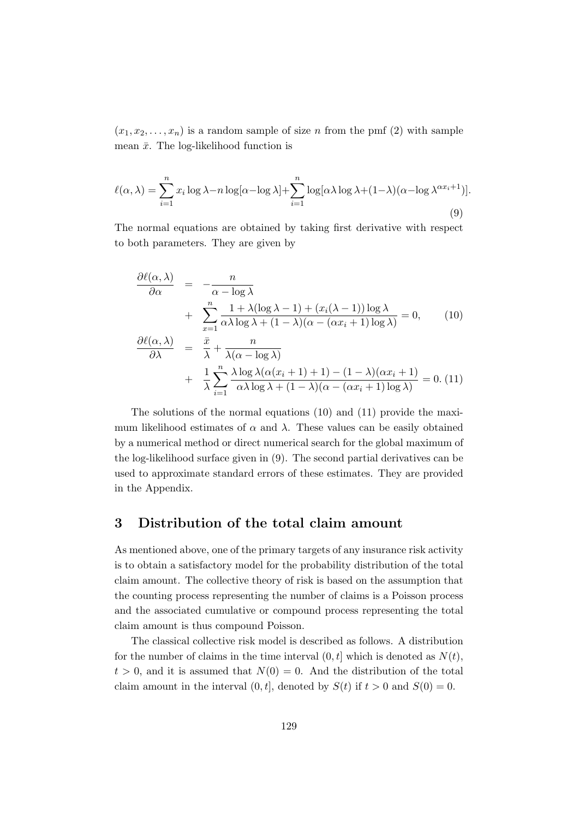$(x_1, x_2, \ldots, x_n)$  is a random sample of size *n* from the pmf (2) with sample mean  $\bar{x}$ . The log-likelihood function is

$$
\ell(\alpha,\lambda) = \sum_{i=1}^{n} x_i \log \lambda - n \log[\alpha - \log \lambda] + \sum_{i=1}^{n} \log[\alpha \lambda \log \lambda + (1-\lambda)(\alpha - \log \lambda^{\alpha x_i+1})].
$$
\n(9)

The normal equations are obtained by taking first derivative with respect to both parameters. They are given by

$$
\frac{\partial \ell(\alpha, \lambda)}{\partial \alpha} = -\frac{n}{\alpha - \log \lambda} \n+ \sum_{x=1}^{n} \frac{1 + \lambda(\log \lambda - 1) + (x_i(\lambda - 1)) \log \lambda}{\alpha \lambda \log \lambda + (1 - \lambda)(\alpha - (\alpha x_i + 1) \log \lambda)} = 0,
$$
\n
$$
\frac{\partial \ell(\alpha, \lambda)}{\partial \lambda} = \frac{\bar{x}}{\lambda} + \frac{n}{\lambda(\alpha - \log \lambda)} \n+ \frac{1}{\lambda} \sum_{i=1}^{n} \frac{\lambda \log \lambda(\alpha(x_i + 1) + 1) - (1 - \lambda)(\alpha x_i + 1)}{\alpha \lambda \log \lambda + (1 - \lambda)(\alpha - (\alpha x_i + 1) \log \lambda)} = 0.
$$
\n(11)

The solutions of the normal equations (10) and (11) provide the maximum likelihood estimates of  $\alpha$  and  $\lambda$ . These values can be easily obtained by a numerical method or direct numerical search for the global maximum of the log-likelihood surface given in (9). The second partial derivatives can be used to approximate standard errors of these estimates. They are provided in the Appendix.

# **3 Distribution of the total claim amount**

As mentioned above, one of the primary targets of any insurance risk activity is to obtain a satisfactory model for the probability distribution of the total claim amount. The collective theory of risk is based on the assumption that the counting process representing the number of claims is a Poisson process and the associated cumulative or compound process representing the total claim amount is thus compound Poisson.

The classical collective risk model is described as follows. A distribution for the number of claims in the time interval  $(0, t]$  which is denoted as  $N(t)$ ,  $t > 0$ , and it is assumed that  $N(0) = 0$ . And the distribution of the total claim amount in the interval  $(0, t]$ , denoted by  $S(t)$  if  $t > 0$  and  $S(0) = 0$ .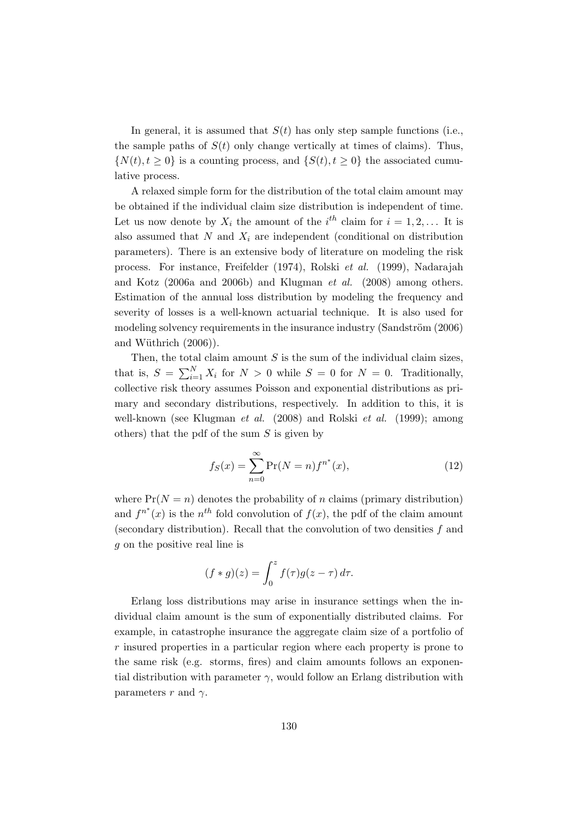In general, it is assumed that  $S(t)$  has only step sample functions (i.e., the sample paths of  $S(t)$  only change vertically at times of claims). Thus,  $\{N(t), t \geq 0\}$  is a counting process, and  $\{S(t), t \geq 0\}$  the associated cumulative process.

A relaxed simple form for the distribution of the total claim amount may be obtained if the individual claim size distribution is independent of time. Let us now denote by  $X_i$  the amount of the  $i^{th}$  claim for  $i = 1, 2, \ldots$  It is also assumed that  $N$  and  $X_i$  are independent (conditional on distribution parameters). There is an extensive body of literature on modeling the risk process. For instance, Freifelder (1974), Rolski *et al.* (1999), Nadarajah and Kotz (2006a and 2006b) and Klugman *et al.* (2008) among others. Estimation of the annual loss distribution by modeling the frequency and severity of losses is a well-known actuarial technique. It is also used for modeling solvency requirements in the insurance industry (Sandström (2006) and Wüthrich  $(2006)$ ).

Then, the total claim amount *S* is the sum of the individual claim sizes, that is,  $S = \sum_{i=1}^{N} X_i$  for  $N > 0$  while  $S = 0$  for  $N = 0$ . Traditionally, collective risk theory assumes Poisson and exponential distributions as primary and secondary distributions, respectively. In addition to this, it is well-known (see Klugman *et al.* (2008) and Rolski *et al.* (1999); among others) that the pdf of the sum *S* is given by

$$
f_S(x) = \sum_{n=0}^{\infty} \Pr(N = n) f^{n^*}(x),
$$
 (12)

where  $Pr(N = n)$  denotes the probability of *n* claims (primary distribution) and  $f^{n^*}(x)$  is the  $n^{th}$  fold convolution of  $f(x)$ , the pdf of the claim amount (secondary distribution). Recall that the convolution of two densities *f* and *g* on the positive real line is

$$
(f * g)(z) = \int_0^z f(\tau)g(z - \tau) d\tau.
$$

Erlang loss distributions may arise in insurance settings when the individual claim amount is the sum of exponentially distributed claims. For example, in catastrophe insurance the aggregate claim size of a portfolio of *r* insured properties in a particular region where each property is prone to the same risk (e.g. storms, fires) and claim amounts follows an exponential distribution with parameter  $\gamma$ , would follow an Erlang distribution with parameters  $r$  and  $\gamma$ .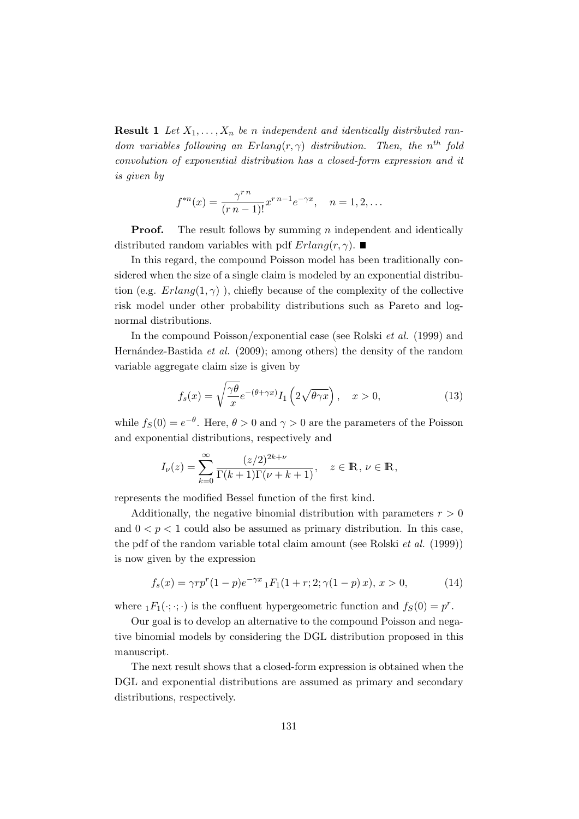**Result 1** Let  $X_1, \ldots, X_n$  be *n* independent and identically distributed ran*dom variables following an Erlang* $(r, \gamma)$  *distribution. Then, the n*<sup>th</sup> *fold convolution of exponential distribution has a closed-form expression and it is given by*

$$
f^{*n}(x) = \frac{\gamma^{r n}}{(r n - 1)!} x^{r n - 1} e^{-\gamma x}, \quad n = 1, 2, \dots
$$

**Proof.** The result follows by summing *n* independent and identically distributed random variables with pdf  $Erlang(r, \gamma)$ .

In this regard, the compound Poisson model has been traditionally considered when the size of a single claim is modeled by an exponential distribution (e.g.  $Erlang(1,\gamma)$ ), chiefly because of the complexity of the collective risk model under other probability distributions such as Pareto and lognormal distributions.

In the compound Poisson/exponential case (see Rolski *et al.* (1999) and Hernández-Bastida *et al.* (2009); among others) the density of the random variable aggregate claim size is given by

$$
f_s(x) = \sqrt{\frac{\gamma \theta}{x}} e^{-(\theta + \gamma x)} I_1 \left(2\sqrt{\theta \gamma x}\right), \quad x > 0,
$$
 (13)

while  $f_S(0) = e^{-\theta}$ . Here,  $\theta > 0$  and  $\gamma > 0$  are the parameters of the Poisson and exponential distributions, respectively and

$$
I_{\nu}(z) = \sum_{k=0}^{\infty} \frac{(z/2)^{2k+\nu}}{\Gamma(k+1)\Gamma(\nu+k+1)}, \quad z \in \mathbb{R}, \nu \in \mathbb{R},
$$

represents the modified Bessel function of the first kind.

Additionally, the negative binomial distribution with parameters  $r > 0$ and  $0 < p < 1$  could also be assumed as primary distribution. In this case, the pdf of the random variable total claim amount (see Rolski *et al.* (1999)) is now given by the expression

$$
f_s(x) = \gamma r p^r (1 - p) e^{-\gamma x} {}_1F_1(1 + r; 2; \gamma(1 - p) x), x > 0,
$$
 (14)

where  ${}_1F_1(\cdot; \cdot; \cdot)$  is the confluent hypergeometric function and  $f_S(0) = p^r$ .

Our goal is to develop an alternative to the compound Poisson and negative binomial models by considering the DGL distribution proposed in this manuscript.

The next result shows that a closed-form expression is obtained when the DGL and exponential distributions are assumed as primary and secondary distributions, respectively.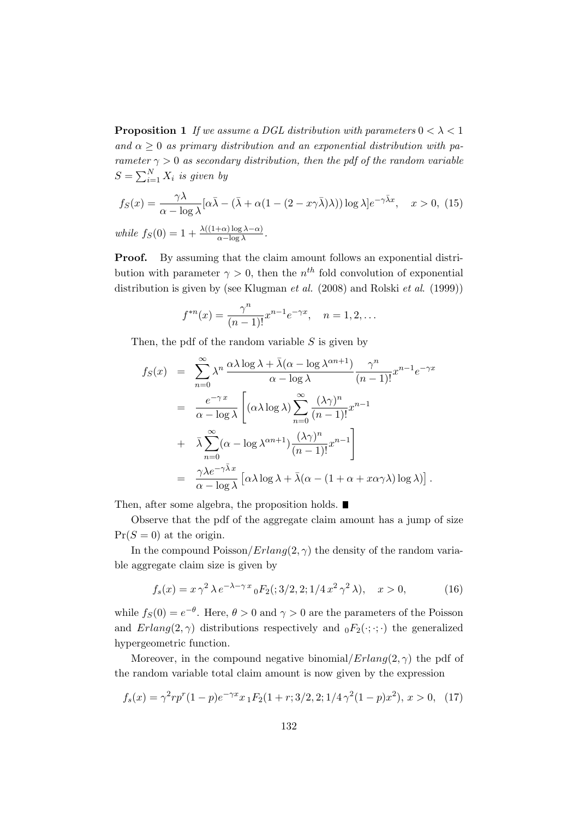**Proposition 1** *If we assume a DGL distribution with parameters*  $0 < \lambda < 1$ and  $\alpha \geq 0$  *as primary distribution and an exponential distribution with parameter*  $\gamma > 0$  *as secondary distribution, then the pdf of the random variable*  $S = \sum_{i=1}^{N} X_i$  *is given by* 

$$
f_S(x) = \frac{\gamma \lambda}{\alpha - \log \lambda} [\alpha \bar{\lambda} - (\bar{\lambda} + \alpha (1 - (2 - x\gamma \bar{\lambda})\lambda)) \log \lambda] e^{-\gamma \bar{\lambda}x}, \quad x > 0, (15)
$$
  
while  $f_S(0) = 1 + \frac{\lambda((1+\alpha)\log \lambda - \alpha)}{\alpha - \log \lambda}$ .

**Proof.** By assuming that the claim amount follows an exponential distribution with parameter  $\gamma > 0$ , then the  $n^{th}$  fold convolution of exponential distribution is given by (see Klugman *et al.* (2008) and Rolski *et al*. (1999))

$$
f^{*n}(x) = \frac{\gamma^n}{(n-1)!} x^{n-1} e^{-\gamma x}, \quad n = 1, 2, \dots
$$

Then, the pdf of the random variable *S* is given by

$$
f_S(x) = \sum_{n=0}^{\infty} \lambda^n \frac{\alpha \lambda \log \lambda + \bar{\lambda}(\alpha - \log \lambda^{\alpha n+1})}{\alpha - \log \lambda} \frac{\gamma^n}{(n-1)!} x^{n-1} e^{-\gamma x}
$$
  

$$
= \frac{e^{-\gamma x}}{\alpha - \log \lambda} \left[ (\alpha \lambda \log \lambda) \sum_{n=0}^{\infty} \frac{(\lambda \gamma)^n}{(n-1)!} x^{n-1} + \bar{\lambda} \sum_{n=0}^{\infty} (\alpha - \log \lambda^{\alpha n+1}) \frac{(\lambda \gamma)^n}{(n-1)!} x^{n-1} \right]
$$
  

$$
= \frac{\gamma \lambda e^{-\gamma \bar{\lambda} x}}{\alpha - \log \lambda} \left[ \alpha \lambda \log \lambda + \bar{\lambda}(\alpha - (1 + \alpha + x\alpha \gamma \lambda) \log \lambda) \right].
$$

Then, after some algebra, the proposition holds. ■

Observe that the pdf of the aggregate claim amount has a jump of size  $Pr(S = 0)$  at the origin.

In the compound Poisson/*Erlang* $(2, \gamma)$  the density of the random variable aggregate claim size is given by

$$
f_s(x) = x \,\gamma^2 \,\lambda \, e^{-\lambda - \gamma \, x} \, {}_0F_2(; 3/2, 2; 1/4 \, x^2 \, \gamma^2 \, \lambda), \quad x > 0,\tag{16}
$$

while  $f_S(0) = e^{-\theta}$ . Here,  $\theta > 0$  and  $\gamma > 0$  are the parameters of the Poisson and *Erlang*(2,  $\gamma$ ) distributions respectively and  $_0F_2(\cdot;\cdot;\cdot)$  the generalized hypergeometric function.

Moreover, in the compound negative binomial/ $Erlang(2, \gamma)$  the pdf of the random variable total claim amount is now given by the expression

$$
f_s(x) = \gamma^2 r p^r (1-p) e^{-\gamma x} x_1 F_2(1+r; 3/2, 2; 1/4 \gamma^2 (1-p) x^2), \ x > 0, \tag{17}
$$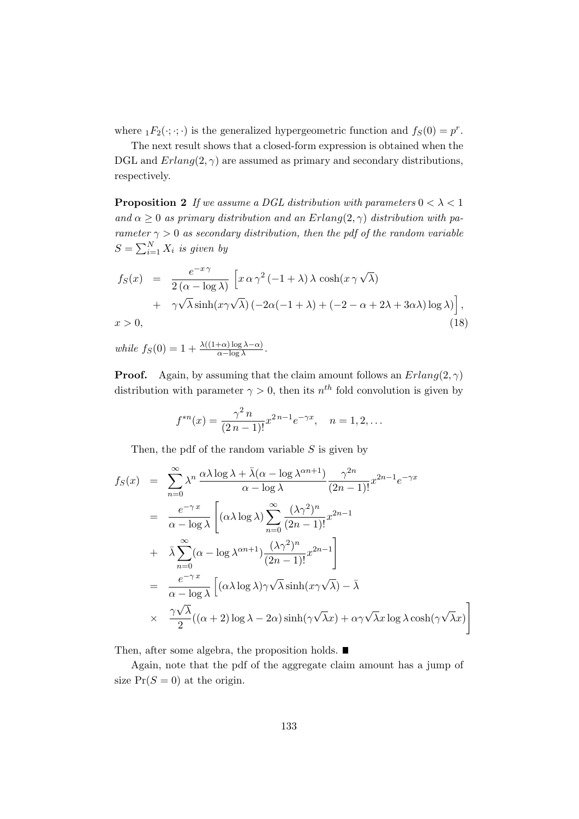where  ${}_1F_2(\cdot;\cdot;\cdot)$  is the generalized hypergeometric function and  $f_S(0) = p^r$ .

The next result shows that a closed-form expression is obtained when the DGL and  $Erlanq(2, \gamma)$  are assumed as primary and secondary distributions, respectively.

**Proposition 2** *If we assume a DGL distribution with parameters*  $0 < \lambda < 1$ and  $\alpha \geq 0$  *as primary distribution and an Erlang* $(2, \gamma)$  *distribution with parameter*  $\gamma > 0$  *as secondary distribution, then the pdf of the random variable*  $S = \sum_{i=1}^{N} X_i$  *is given by* 

$$
f_S(x) = \frac{e^{-x\gamma}}{2(\alpha - \log \lambda)} \left[ x \alpha \gamma^2 (-1 + \lambda) \lambda \cosh(x \gamma \sqrt{\lambda}) + \gamma \sqrt{\lambda} \sinh(x \gamma \sqrt{\lambda}) (-2\alpha(-1 + \lambda) + (-2 - \alpha + 2\lambda + 3\alpha \lambda) \log \lambda) \right],
$$
  
\n
$$
x > 0,
$$
\n(18)

 $\omega$ *hile*  $f_S(0) = 1 + \frac{\lambda((1+\alpha)\log\lambda - \alpha)}{\alpha - \log\lambda}$ .

**Proof.** Again, by assuming that the claim amount follows an  $Erlang(2, \gamma)$ distribution with parameter  $\gamma > 0$ , then its  $n^{th}$  fold convolution is given by

$$
f^{*n}(x) = \frac{\gamma^2 n}{(2n-1)!} x^{2n-1} e^{-\gamma x}, \quad n = 1, 2, \dots
$$

Then, the pdf of the random variable *S* is given by

$$
f_S(x) = \sum_{n=0}^{\infty} \lambda^n \frac{\alpha \lambda \log \lambda + \bar{\lambda}(\alpha - \log \lambda^{\alpha n+1})}{\alpha - \log \lambda} \frac{\gamma^{2n}}{(2n-1)!} x^{2n-1} e^{-\gamma x}
$$
  
\n
$$
= \frac{e^{-\gamma x}}{\alpha - \log \lambda} \left[ (\alpha \lambda \log \lambda) \sum_{n=0}^{\infty} \frac{(\lambda \gamma^2)^n}{(2n-1)!} x^{2n-1} + \bar{\lambda} \sum_{n=0}^{\infty} (\alpha - \log \lambda^{\alpha n+1}) \frac{(\lambda \gamma^2)^n}{(2n-1)!} x^{2n-1} \right]
$$
  
\n
$$
= \frac{e^{-\gamma x}}{\alpha - \log \lambda} \left[ (\alpha \lambda \log \lambda) \gamma \sqrt{\lambda} \sinh(x \gamma \sqrt{\lambda}) - \bar{\lambda} \right]
$$
  
\n
$$
\times \frac{\gamma \sqrt{\lambda}}{2} ((\alpha + 2) \log \lambda - 2\alpha) \sinh(\gamma \sqrt{\lambda} x) + \alpha \gamma \sqrt{\lambda} x \log \lambda \cosh(\gamma \sqrt{\lambda} x) \right]
$$

Then, after some algebra, the proposition holds.  $\blacksquare$ 

Again, note that the pdf of the aggregate claim amount has a jump of size  $Pr(S = 0)$  at the origin.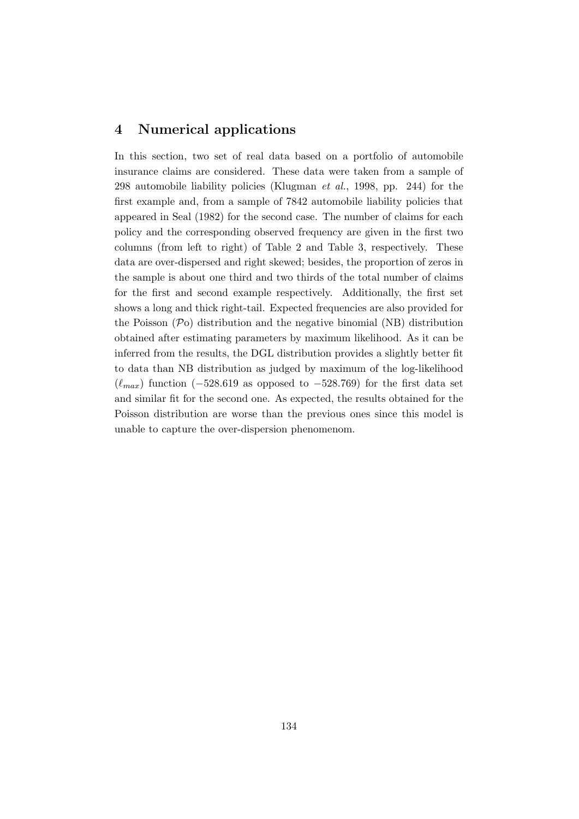## **4 Numerical applications**

In this section, two set of real data based on a portfolio of automobile insurance claims are considered. These data were taken from a sample of 298 automobile liability policies (Klugman *et al.*, 1998, pp. 244) for the first example and, from a sample of 7842 automobile liability policies that appeared in Seal (1982) for the second case. The number of claims for each policy and the corresponding observed frequency are given in the first two columns (from left to right) of Table 2 and Table 3, respectively. These data are over-dispersed and right skewed; besides, the proportion of zeros in the sample is about one third and two thirds of the total number of claims for the first and second example respectively. Additionally, the first set shows a long and thick right-tail. Expected frequencies are also provided for the Poisson (*P*o) distribution and the negative binomial (NB) distribution obtained after estimating parameters by maximum likelihood. As it can be inferred from the results, the DGL distribution provides a slightly better fit to data than NB distribution as judged by maximum of the log-likelihood (*ℓmax*) function (*−*528*.*619 as opposed to *−*528*.*769) for the first data set and similar fit for the second one. As expected, the results obtained for the Poisson distribution are worse than the previous ones since this model is unable to capture the over-dispersion phenomenom.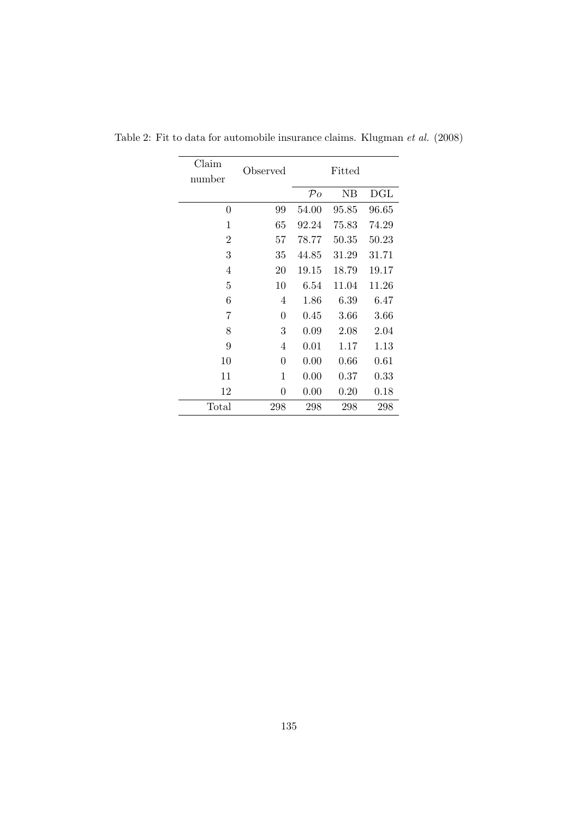| Claim          | Observed |                | Fitted |            |  |
|----------------|----------|----------------|--------|------------|--|
| number         |          |                |        |            |  |
|                |          | $\mathcal{P}o$ | NB     | DGL        |  |
| 0              | 99       | 54.00          | 95.85  | 96.65      |  |
| 1              | 65       | 92.24          | 75.83  | 74.29      |  |
| $\overline{2}$ | 57       | 78.77          | 50.35  | 50.23      |  |
| 3              | 35       | 44.85          | 31.29  | 31.71      |  |
| 4              | 20       | 19.15          | 18.79  | 19.17      |  |
| 5              | 10       | 6.54           | 11.04  | 11.26      |  |
| 6              | 4        | 1.86           | 6.39   | 6.47       |  |
| 7              | $\theta$ | 0.45           | 3.66   | $3.66\,$   |  |
| 8              | 3        | 0.09           | 2.08   | 2.04       |  |
| 9              | 4        | 0.01           | 1.17   | 1.13       |  |
| 10             | $\theta$ | 0.00           | 0.66   | $0.61\,$   |  |
| 11             | 1        | 0.00           | 0.37   | $\rm 0.33$ |  |
| 12             | $\theta$ | 0.00           | 0.20   | 0.18       |  |
| Total          | 298      | 298            | 298    | 298        |  |

Table 2: Fit to data for automobile insurance claims. Klugman *et al.* (2008)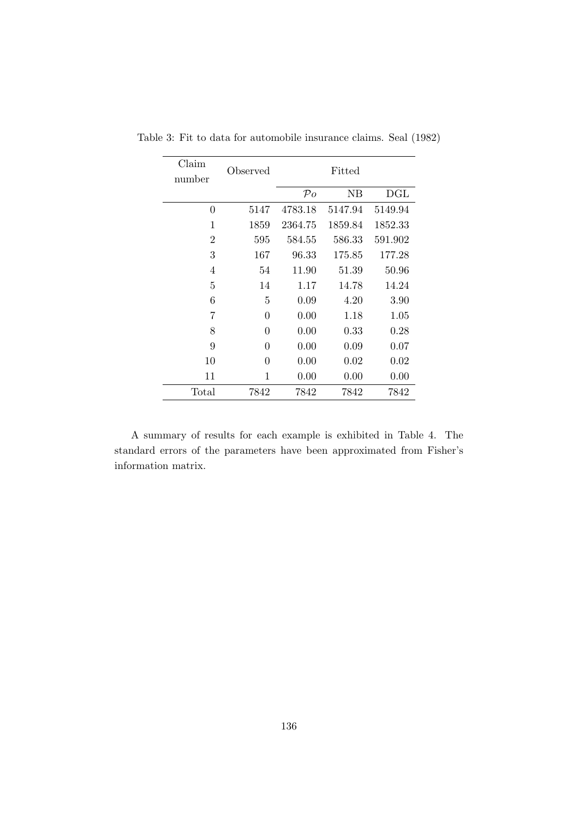| Claim<br>number | Observed    | Fitted         |         |         |
|-----------------|-------------|----------------|---------|---------|
|                 |             | $\mathcal{P}o$ | NΒ      | DGL     |
| $\overline{0}$  | 5147        | 4783.18        | 5147.94 | 5149.94 |
| 1               | 1859        | 2364.75        | 1859.84 | 1852.33 |
| $\overline{2}$  | 595         | 584.55         | 586.33  | 591.902 |
| 3               | 167         | 96.33          | 175.85  | 177.28  |
| 4               | 54          | 11.90          | 51.39   | 50.96   |
| $\overline{5}$  | 14          | 1.17           | 14.78   | 14.24   |
| 6               | 5           | 0.09           | 4.20    | 3.90    |
| 7               | $\theta$    | 0.00           | 1.18    | 1.05    |
| 8               | $\theta$    | 0.00           | 0.33    | 0.28    |
| 9               | $\theta$    | 0.00           | 0.09    | 0.07    |
| 10              | $\theta$    | 0.00           | 0.02    | 0.02    |
| 11              | $\mathbf 1$ | 0.00           | 0.00    | 0.00    |
| Total           | 7842        | 7842           | 7842    | 7842    |

Table 3: Fit to data for automobile insurance claims. Seal (1982)

A summary of results for each example is exhibited in Table 4. The standard errors of the parameters have been approximated from Fisher's information matrix.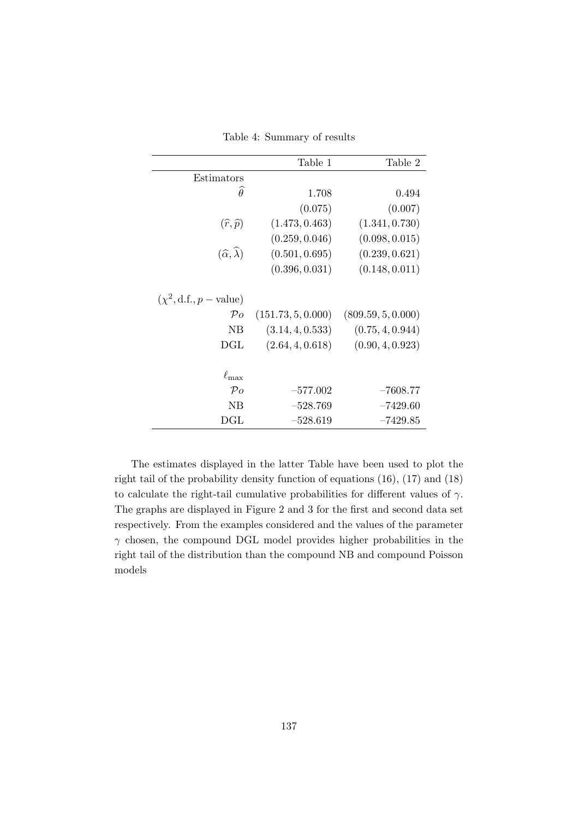|                                        | Table 1            | Table 2            |
|----------------------------------------|--------------------|--------------------|
| Estimators                             |                    |                    |
| $\widehat{\theta}$                     | 1.708              | 0.494              |
|                                        | (0.075)            | (0.007)            |
| $(\widehat{r},\widehat{p})$            | (1.473, 0.463)     | (1.341, 0.730)     |
|                                        | (0.259, 0.046)     | (0.098, 0.015)     |
| $(\widehat{\alpha},\widehat{\lambda})$ | (0.501, 0.695)     | (0.239, 0.621)     |
|                                        | (0.396, 0.031)     | (0.148, 0.011)     |
| $(\chi^2, d.f., p-value)$              |                    |                    |
| $\mathcal{P}o$                         | (151.73, 5, 0.000) | (809.59, 5, 0.000) |
| NB                                     | (3.14, 4, 0.533)   | (0.75, 4, 0.944)   |
| DGL                                    | (2.64, 4, 0.618)   | (0.90, 4, 0.923)   |
| $\ell_{\rm max}$                       |                    |                    |
| $\mathcal{P}o$                         | $-577.002$         | $-7608.77$         |
| NB                                     | $-528.769$         | $-7429.60$         |
| $\rm DGL$                              | $-528.619$         | $-7429.85$         |

Table 4: Summary of results

The estimates displayed in the latter Table have been used to plot the right tail of the probability density function of equations (16), (17) and (18) to calculate the right-tail cumulative probabilities for different values of *γ*. The graphs are displayed in Figure 2 and 3 for the first and second data set respectively. From the examples considered and the values of the parameter *γ* chosen, the compound DGL model provides higher probabilities in the right tail of the distribution than the compound NB and compound Poisson models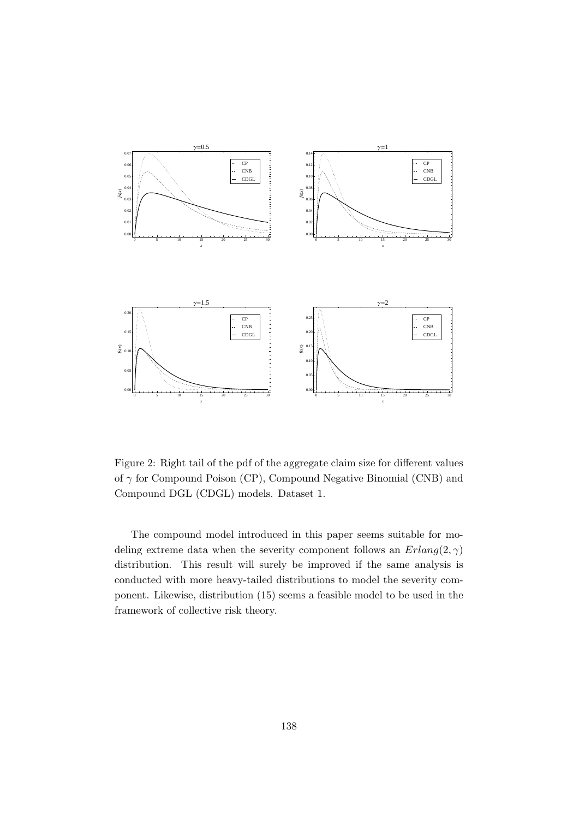

Figure 2: Right tail of the pdf of the aggregate claim size for different values of *γ* for Compound Poison (CP), Compound Negative Binomial (CNB) and Compound DGL (CDGL) models. Dataset 1.

The compound model introduced in this paper seems suitable for modeling extreme data when the severity component follows an *Erlang*(2*, γ*) distribution. This result will surely be improved if the same analysis is conducted with more heavy-tailed distributions to model the severity component. Likewise, distribution (15) seems a feasible model to be used in the framework of collective risk theory.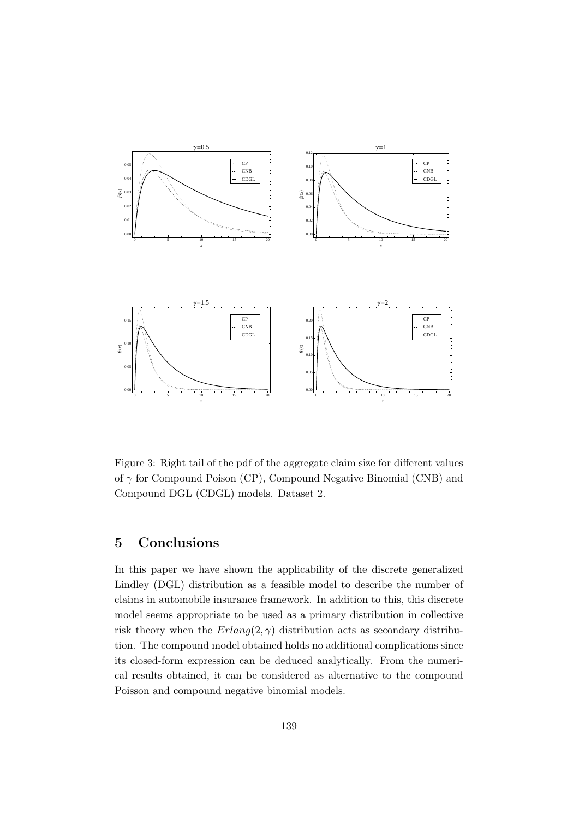

Figure 3: Right tail of the pdf of the aggregate claim size for different values of *γ* for Compound Poison (CP), Compound Negative Binomial (CNB) and Compound DGL (CDGL) models. Dataset 2.

# **5 Conclusions**

In this paper we have shown the applicability of the discrete generalized Lindley (DGL) distribution as a feasible model to describe the number of claims in automobile insurance framework. In addition to this, this discrete model seems appropriate to be used as a primary distribution in collective risk theory when the  $Erlang(2, \gamma)$  distribution acts as secondary distribution. The compound model obtained holds no additional complications since its closed-form expression can be deduced analytically. From the numerical results obtained, it can be considered as alternative to the compound Poisson and compound negative binomial models.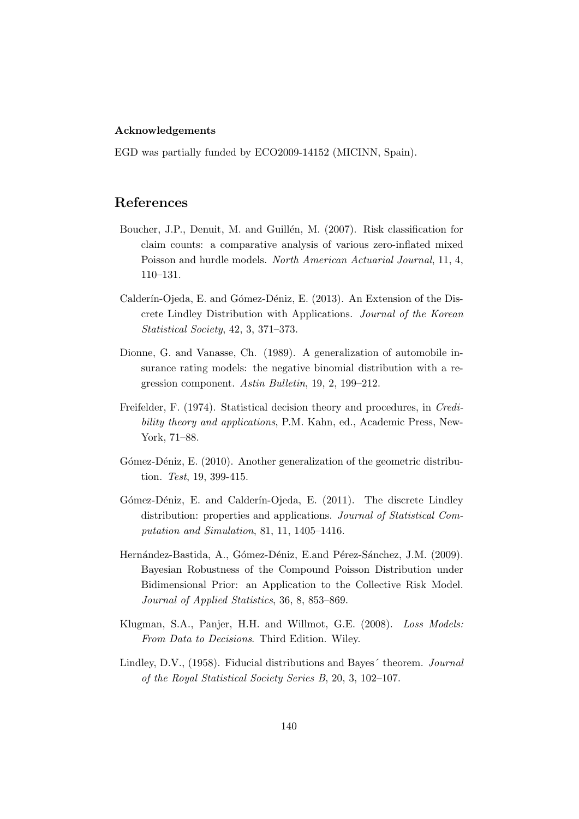#### **Acknowledgements**

EGD was partially funded by ECO2009-14152 (MICINN, Spain).

### **References**

- Boucher, J.P., Denuit, M. and Guillén, M. (2007). Risk classification for claim counts: a comparative analysis of various zero-inflated mixed Poisson and hurdle models. *North American Actuarial Journal*, 11, 4, 110–131.
- Calderín-Ojeda, E. and Gómez-Déniz, E. (2013). An Extension of the Discrete Lindley Distribution with Applications. *Journal of the Korean Statistical Society*, 42, 3, 371–373.
- Dionne, G. and Vanasse, Ch. (1989). A generalization of automobile insurance rating models: the negative binomial distribution with a regression component. *Astin Bulletin*, 19, 2, 199–212.
- Freifelder, F. (1974). Statistical decision theory and procedures, in *Credibility theory and applications*, P.M. Kahn, ed., Academic Press, New-York, 71–88.
- Gómez-Déniz, E. (2010). Another generalization of the geometric distribution. *Test*, 19, 399-415.
- Gómez-Déniz, E. and Calderín-Ojeda, E. (2011). The discrete Lindley distribution: properties and applications. *Journal of Statistical Computation and Simulation*, 81, 11, 1405–1416.
- Hernández-Bastida, A., Gómez-Déniz, E.and Pérez-Sánchez, J.M. (2009). Bayesian Robustness of the Compound Poisson Distribution under Bidimensional Prior: an Application to the Collective Risk Model. *Journal of Applied Statistics*, 36, 8, 853–869.
- Klugman, S.A., Panjer, H.H. and Willmot, G.E. (2008). *Loss Models: From Data to Decisions*. Third Edition. Wiley.
- Lindley, D.V., (1958). Fiducial distributions and Bayes´ theorem. *Journal of the Royal Statistical Society Series B*, 20, 3, 102–107.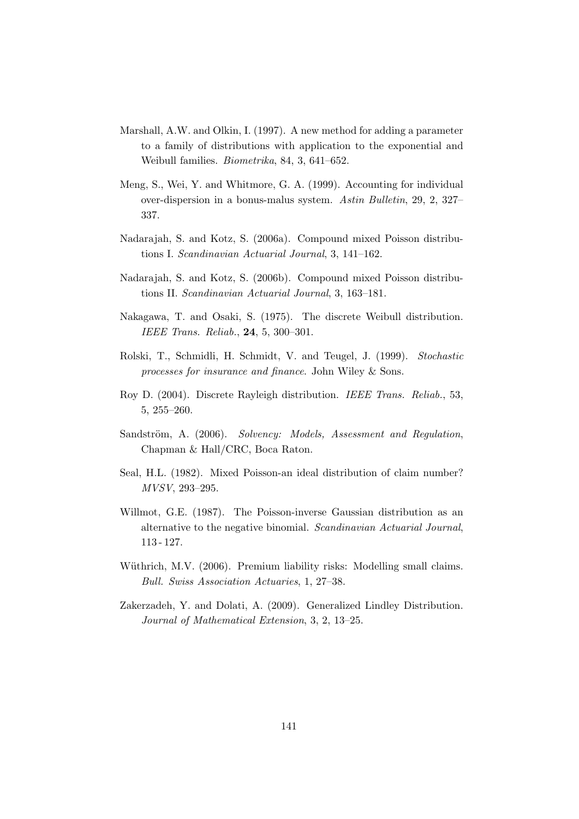- Marshall, A.W. and Olkin, I. (1997). A new method for adding a parameter to a family of distributions with application to the exponential and Weibull families. *Biometrika*, 84, 3, 641–652.
- Meng, S., Wei, Y. and Whitmore, G. A. (1999). Accounting for individual over-dispersion in a bonus-malus system. *Astin Bulletin*, 29, 2, 327– 337.
- Nadarajah, S. and Kotz, S. (2006a). Compound mixed Poisson distributions I. *Scandinavian Actuarial Journal*, 3, 141–162.
- Nadarajah, S. and Kotz, S. (2006b). Compound mixed Poisson distributions II. *Scandinavian Actuarial Journal*, 3, 163–181.
- Nakagawa, T. and Osaki, S. (1975). The discrete Weibull distribution. *IEEE Trans. Reliab.*, **24**, 5, 300–301.
- Rolski, T., Schmidli, H. Schmidt, V. and Teugel, J. (1999). *Stochastic processes for insurance and finance*. John Wiley & Sons.
- Roy D. (2004). Discrete Rayleigh distribution. *IEEE Trans. Reliab.*, 53, 5, 255–260.
- Sandström, A. (2006). *Solvency: Models, Assessment and Regulation*, Chapman & Hall/CRC, Boca Raton.
- Seal, H.L. (1982). Mixed Poisson-an ideal distribution of claim number? *MVSV*, 293–295.
- Willmot, G.E. (1987). The Poisson-inverse Gaussian distribution as an alternative to the negative binomial. *Scandinavian Actuarial Journal*, 113 - 127.
- Wüthrich, M.V. (2006). Premium liability risks: Modelling small claims. *Bull. Swiss Association Actuaries*, 1, 27–38.
- Zakerzadeh, Y. and Dolati, A. (2009). Generalized Lindley Distribution. *Journal of Mathematical Extension*, 3, 2, 13–25.